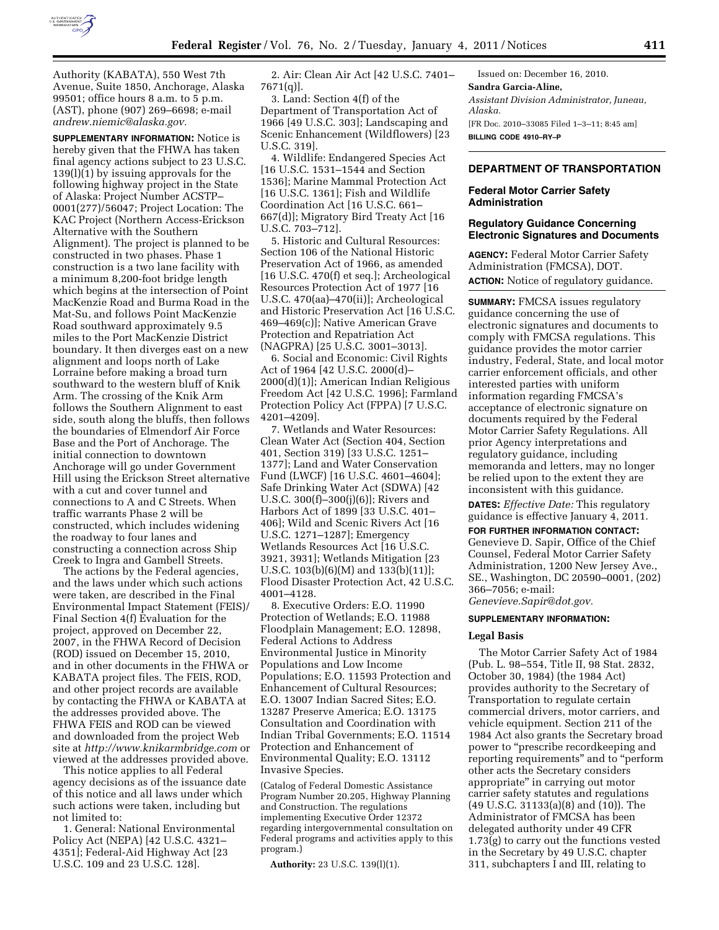

Authority (KABATA), 550 West 7th Avenue, Suite 1850, Anchorage, Alaska 99501; office hours 8 a.m. to 5 p.m. (AST), phone (907) 269–6698; e-mail *[andrew.niemic@alaska.gov.](mailto:andrew.niemic@alaska.gov)* 

**SUPPLEMENTARY INFORMATION:** Notice is hereby given that the FHWA has taken final agency actions subject to 23 U.S.C. 139(l)(1) by issuing approvals for the following highway project in the State of Alaska: Project Number ACSTP– 0001(277)/56047; Project Location: The KAC Project (Northern Access-Erickson Alternative with the Southern Alignment). The project is planned to be constructed in two phases. Phase 1 construction is a two lane facility with a minimum 8,200-foot bridge length which begins at the intersection of Point MacKenzie Road and Burma Road in the Mat-Su, and follows Point MacKenzie Road southward approximately 9.5 miles to the Port MacKenzie District boundary. It then diverges east on a new alignment and loops north of Lake Lorraine before making a broad turn southward to the western bluff of Knik Arm. The crossing of the Knik Arm follows the Southern Alignment to east side, south along the bluffs, then follows the boundaries of Elmendorf Air Force Base and the Port of Anchorage. The initial connection to downtown Anchorage will go under Government Hill using the Erickson Street alternative with a cut and cover tunnel and connections to A and C Streets. When traffic warrants Phase 2 will be constructed, which includes widening the roadway to four lanes and constructing a connection across Ship Creek to Ingra and Gambell Streets.

The actions by the Federal agencies, and the laws under which such actions were taken, are described in the Final Environmental Impact Statement (FEIS)/ Final Section 4(f) Evaluation for the project, approved on December 22, 2007, in the FHWA Record of Decision (ROD) issued on December 15, 2010, and in other documents in the FHWA or KABATA project files. The FEIS, ROD, and other project records are available by contacting the FHWA or KABATA at the addresses provided above. The FHWA FEIS and ROD can be viewed and downloaded from the project Web site at *<http://www.knikarmbridge.com>* or viewed at the addresses provided above.

This notice applies to all Federal agency decisions as of the issuance date of this notice and all laws under which such actions were taken, including but not limited to:

1. General: National Environmental Policy Act (NEPA) [42 U.S.C. 4321– 4351]; Federal-Aid Highway Act [23 U.S.C. 109 and 23 U.S.C. 128].

2. Air: Clean Air Act [42 U.S.C. 7401– 7671(q)].

3. Land: Section 4(f) of the Department of Transportation Act of 1966 [49 U.S.C. 303]; Landscaping and Scenic Enhancement (Wildflowers) [23 U.S.C. 319].

4. Wildlife: Endangered Species Act [16 U.S.C. 1531–1544 and Section 1536]; Marine Mammal Protection Act [16 U.S.C. 1361]; Fish and Wildlife Coordination Act [16 U.S.C. 661– 667(d)]; Migratory Bird Treaty Act [16 U.S.C. 703–712].

5. Historic and Cultural Resources: Section 106 of the National Historic Preservation Act of 1966, as amended [16 U.S.C. 470(f) et seq.]; Archeological Resources Protection Act of 1977 [16 U.S.C. 470(aa)–470(ii)]; Archeological and Historic Preservation Act [16 U.S.C. 469–469(c)]; Native American Grave Protection and Repatriation Act (NAGPRA) [25 U.S.C. 3001–3013].

6. Social and Economic: Civil Rights Act of 1964 [42 U.S.C. 2000(d)– 2000(d)(1)]; American Indian Religious Freedom Act [42 U.S.C. 1996]; Farmland Protection Policy Act (FPPA) [7 U.S.C. 4201–4209].

7. Wetlands and Water Resources: Clean Water Act (Section 404, Section 401, Section 319) [33 U.S.C. 1251– 1377]; Land and Water Conservation Fund (LWCF) [16 U.S.C. 4601–4604]; Safe Drinking Water Act (SDWA) [42 U.S.C. 300(f)–300(j)(6)]; Rivers and Harbors Act of 1899 [33 U.S.C. 401– 406]; Wild and Scenic Rivers Act [16 U.S.C. 1271–1287]; Emergency Wetlands Resources Act [16 U.S.C. 3921, 3931]; Wetlands Mitigation [23 U.S.C. 103(b)(6)(M) and 133(b)(11)]; Flood Disaster Protection Act, 42 U.S.C. 4001–4128.

8. Executive Orders: E.O. 11990 Protection of Wetlands; E.O. 11988 Floodplain Management; E.O. 12898, Federal Actions to Address Environmental Justice in Minority Populations and Low Income Populations; E.O. 11593 Protection and Enhancement of Cultural Resources; E.O. 13007 Indian Sacred Sites; E.O. 13287 Preserve America; E.O. 13175 Consultation and Coordination with Indian Tribal Governments; E.O. 11514 Protection and Enhancement of Environmental Quality; E.O. 13112 Invasive Species.

(Catalog of Federal Domestic Assistance Program Number 20.205, Highway Planning and Construction. The regulations implementing Executive Order 12372 regarding intergovernmental consultation on Federal programs and activities apply to this program.)

**Authority:** 23 U.S.C. 139(l)(1).

Issued on: December 16, 2010. **Sandra Garcia-Aline,**  *Assistant Division Administrator, Juneau, Alaska.*  [FR Doc. 2010–33085 Filed 1–3–11; 8:45 am] **BILLING CODE 4910–RY–P** 

## **DEPARTMENT OF TRANSPORTATION**

## **Federal Motor Carrier Safety Administration**

## **Regulatory Guidance Concerning Electronic Signatures and Documents**

**AGENCY:** Federal Motor Carrier Safety Administration (FMCSA), DOT.

**ACTION:** Notice of regulatory guidance.

**SUMMARY:** FMCSA issues regulatory guidance concerning the use of electronic signatures and documents to comply with FMCSA regulations. This guidance provides the motor carrier industry, Federal, State, and local motor carrier enforcement officials, and other interested parties with uniform information regarding FMCSA's acceptance of electronic signature on documents required by the Federal Motor Carrier Safety Regulations. All prior Agency interpretations and regulatory guidance, including memoranda and letters, may no longer be relied upon to the extent they are inconsistent with this guidance.

**DATES:** *Effective Date:* This regulatory guidance is effective January 4, 2011.

**FOR FURTHER INFORMATION CONTACT:**  Genevieve D. Sapir, Office of the Chief Counsel, Federal Motor Carrier Safety Administration, 1200 New Jersey Ave., SE., Washington, DC 20590–0001, (202) 366–7056; e-mail: *[Genevieve.Sapir@dot.gov.](mailto:Genevieve.Sapir@dot.gov)* 

## **SUPPLEMENTARY INFORMATION:**

#### **Legal Basis**

The Motor Carrier Safety Act of 1984 (Pub. L. 98–554, Title II, 98 Stat. 2832, October 30, 1984) (the 1984 Act) provides authority to the Secretary of Transportation to regulate certain commercial drivers, motor carriers, and vehicle equipment. Section 211 of the 1984 Act also grants the Secretary broad power to ''prescribe recordkeeping and reporting requirements'' and to ''perform other acts the Secretary considers appropriate'' in carrying out motor carrier safety statutes and regulations (49 U.S.C. 31133(a)(8) and (10)). The Administrator of FMCSA has been delegated authority under 49 CFR 1.73(g) to carry out the functions vested in the Secretary by 49 U.S.C. chapter 311, subchapters I and III, relating to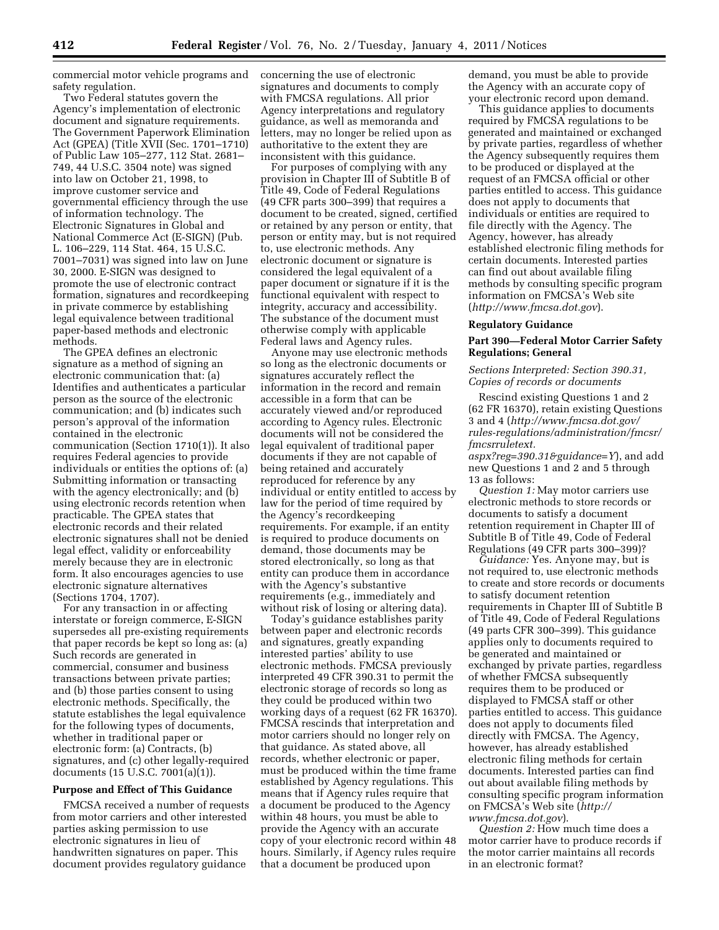commercial motor vehicle programs and safety regulation.

Two Federal statutes govern the Agency's implementation of electronic document and signature requirements. The Government Paperwork Elimination Act (GPEA) (Title XVII (Sec. 1701–1710) of Public Law 105–277, 112 Stat. 2681– 749, 44 U.S.C. 3504 note) was signed into law on October 21, 1998, to improve customer service and governmental efficiency through the use of information technology. The Electronic Signatures in Global and National Commerce Act (E-SIGN) (Pub. L. 106–229, 114 Stat. 464, 15 U.S.C. 7001–7031) was signed into law on June 30, 2000. E-SIGN was designed to promote the use of electronic contract formation, signatures and recordkeeping in private commerce by establishing legal equivalence between traditional paper-based methods and electronic methods.

The GPEA defines an electronic signature as a method of signing an electronic communication that: (a) Identifies and authenticates a particular person as the source of the electronic communication; and (b) indicates such person's approval of the information contained in the electronic communication (Section 1710(1)). It also requires Federal agencies to provide individuals or entities the options of: (a) Submitting information or transacting with the agency electronically; and (b) using electronic records retention when practicable. The GPEA states that electronic records and their related electronic signatures shall not be denied legal effect, validity or enforceability merely because they are in electronic form. It also encourages agencies to use electronic signature alternatives (Sections 1704, 1707).

For any transaction in or affecting interstate or foreign commerce, E-SIGN supersedes all pre-existing requirements that paper records be kept so long as: (a) Such records are generated in commercial, consumer and business transactions between private parties; and (b) those parties consent to using electronic methods. Specifically, the statute establishes the legal equivalence for the following types of documents, whether in traditional paper or electronic form: (a) Contracts, (b) signatures, and (c) other legally-required documents (15 U.S.C. 7001(a)(1)).

### **Purpose and Effect of This Guidance**

FMCSA received a number of requests from motor carriers and other interested parties asking permission to use electronic signatures in lieu of handwritten signatures on paper. This document provides regulatory guidance

concerning the use of electronic signatures and documents to comply with FMCSA regulations. All prior Agency interpretations and regulatory guidance, as well as memoranda and letters, may no longer be relied upon as authoritative to the extent they are inconsistent with this guidance.

For purposes of complying with any provision in Chapter III of Subtitle B of Title 49, Code of Federal Regulations (49 CFR parts 300–399) that requires a document to be created, signed, certified or retained by any person or entity, that person or entity may, but is not required to, use electronic methods. Any electronic document or signature is considered the legal equivalent of a paper document or signature if it is the functional equivalent with respect to integrity, accuracy and accessibility. The substance of the document must otherwise comply with applicable Federal laws and Agency rules.

Anyone may use electronic methods so long as the electronic documents or signatures accurately reflect the information in the record and remain accessible in a form that can be accurately viewed and/or reproduced according to Agency rules. Electronic documents will not be considered the legal equivalent of traditional paper documents if they are not capable of being retained and accurately reproduced for reference by any individual or entity entitled to access by law for the period of time required by the Agency's recordkeeping requirements. For example, if an entity is required to produce documents on demand, those documents may be stored electronically, so long as that entity can produce them in accordance with the Agency's substantive requirements (e.g., immediately and without risk of losing or altering data).

Today's guidance establishes parity between paper and electronic records and signatures, greatly expanding interested parties' ability to use electronic methods. FMCSA previously interpreted 49 CFR 390.31 to permit the electronic storage of records so long as they could be produced within two working days of a request (62 FR 16370). FMCSA rescinds that interpretation and motor carriers should no longer rely on that guidance. As stated above, all records, whether electronic or paper, must be produced within the time frame established by Agency regulations. This means that if Agency rules require that a document be produced to the Agency within 48 hours, you must be able to provide the Agency with an accurate copy of your electronic record within 48 hours. Similarly, if Agency rules require that a document be produced upon

demand, you must be able to provide the Agency with an accurate copy of your electronic record upon demand.

This guidance applies to documents required by FMCSA regulations to be generated and maintained or exchanged by private parties, regardless of whether the Agency subsequently requires them to be produced or displayed at the request of an FMCSA official or other parties entitled to access. This guidance does not apply to documents that individuals or entities are required to file directly with the Agency. The Agency, however, has already established electronic filing methods for certain documents. Interested parties can find out about available filing methods by consulting specific program information on FMCSA's Web site (*<http://www.fmcsa.dot.gov>*).

## **Regulatory Guidance**

# **Part 390—Federal Motor Carrier Safety Regulations; General**

*Sections Interpreted: Section 390.31, Copies of records or documents* 

Rescind existing Questions 1 and 2 (62 FR 16370), retain existing Questions 3 and 4 (*[http://www.fmcsa.dot.gov/](http://www.fmcsa.dot.gov/rules-regulations/administration/fmcsr/fmcsrruletext.aspx?reg=390.31&guidance=Y) [rules-regulations/administration/fmcsr/](http://www.fmcsa.dot.gov/rules-regulations/administration/fmcsr/fmcsrruletext.aspx?reg=390.31&guidance=Y)  [fmcsrruletext.](http://www.fmcsa.dot.gov/rules-regulations/administration/fmcsr/fmcsrruletext.aspx?reg=390.31&guidance=Y)*

*[aspx?reg=390.31&guidance=Y](http://www.fmcsa.dot.gov/rules-regulations/administration/fmcsr/fmcsrruletext.aspx?reg=390.31&guidance=Y)*), and add new Questions 1 and 2 and 5 through 13 as follows:

*Question 1:* May motor carriers use electronic methods to store records or documents to satisfy a document retention requirement in Chapter III of Subtitle B of Title 49, Code of Federal Regulations (49 CFR parts 300–399)?

*Guidance:* Yes. Anyone may, but is not required to, use electronic methods to create and store records or documents to satisfy document retention requirements in Chapter III of Subtitle B of Title 49, Code of Federal Regulations (49 parts CFR 300–399). This guidance applies only to documents required to be generated and maintained or exchanged by private parties, regardless of whether FMCSA subsequently requires them to be produced or displayed to FMCSA staff or other parties entitled to access. This guidance does not apply to documents filed directly with FMCSA. The Agency, however, has already established electronic filing methods for certain documents. Interested parties can find out about available filing methods by consulting specific program information on FMCSA's Web site (*[http://](http://www.fmcsa.dot.gov)  [www.fmcsa.dot.gov](http://www.fmcsa.dot.gov)*).

*Question 2:* How much time does a motor carrier have to produce records if the motor carrier maintains all records in an electronic format?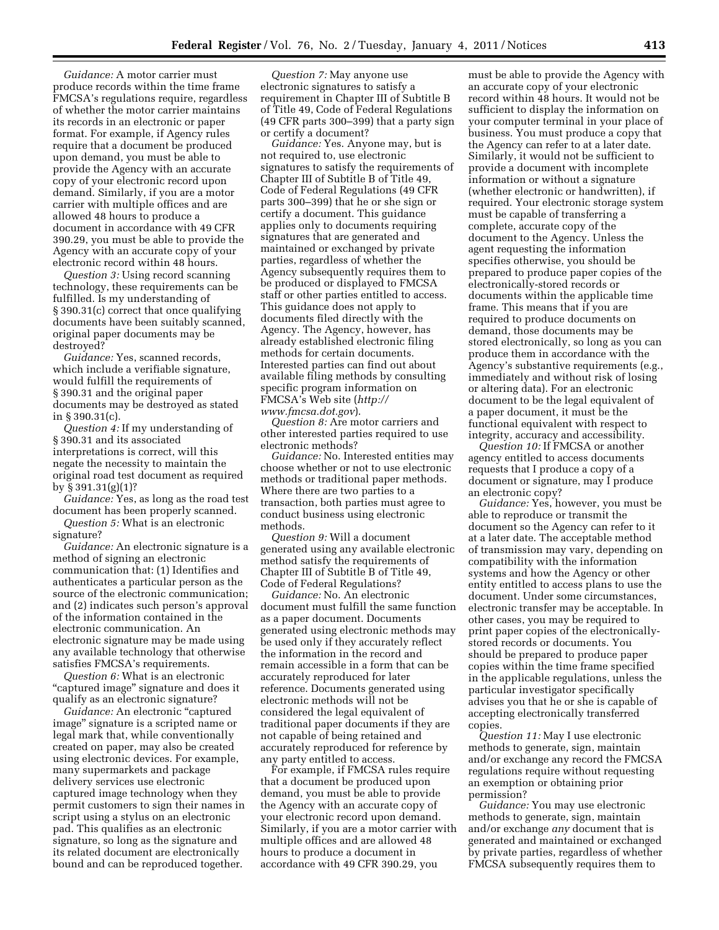*Guidance:* A motor carrier must produce records within the time frame FMCSA's regulations require, regardless of whether the motor carrier maintains its records in an electronic or paper format. For example, if Agency rules require that a document be produced upon demand, you must be able to provide the Agency with an accurate copy of your electronic record upon demand. Similarly, if you are a motor carrier with multiple offices and are allowed 48 hours to produce a document in accordance with 49 CFR 390.29, you must be able to provide the Agency with an accurate copy of your electronic record within 48 hours.

*Question 3:* Using record scanning technology, these requirements can be fulfilled. Is my understanding of § 390.31(c) correct that once qualifying documents have been suitably scanned, original paper documents may be destroyed?

*Guidance:* Yes, scanned records, which include a verifiable signature, would fulfill the requirements of § 390.31 and the original paper documents may be destroyed as stated in § 390.31(c).

*Question 4:* If my understanding of § 390.31 and its associated interpretations is correct, will this negate the necessity to maintain the original road test document as required by § 391.31(g)(1)?

*Guidance:* Yes, as long as the road test document has been properly scanned.

*Question 5:* What is an electronic signature?

*Guidance:* An electronic signature is a method of signing an electronic communication that: (1) Identifies and authenticates a particular person as the source of the electronic communication; and (2) indicates such person's approval of the information contained in the electronic communication. An electronic signature may be made using any available technology that otherwise satisfies FMCSA's requirements.

*Question 6:* What is an electronic ''captured image'' signature and does it qualify as an electronic signature?

*Guidance:* An electronic ''captured image'' signature is a scripted name or legal mark that, while conventionally created on paper, may also be created using electronic devices. For example, many supermarkets and package delivery services use electronic captured image technology when they permit customers to sign their names in script using a stylus on an electronic pad. This qualifies as an electronic signature, so long as the signature and its related document are electronically bound and can be reproduced together.

*Question 7:* May anyone use electronic signatures to satisfy a requirement in Chapter III of Subtitle B of Title 49, Code of Federal Regulations (49 CFR parts 300–399) that a party sign or certify a document?

*Guidance:* Yes. Anyone may, but is not required to, use electronic signatures to satisfy the requirements of Chapter III of Subtitle B of Title 49, Code of Federal Regulations (49 CFR parts 300–399) that he or she sign or certify a document. This guidance applies only to documents requiring signatures that are generated and maintained or exchanged by private parties, regardless of whether the Agency subsequently requires them to be produced or displayed to FMCSA staff or other parties entitled to access. This guidance does not apply to documents filed directly with the Agency. The Agency, however, has already established electronic filing methods for certain documents. Interested parties can find out about available filing methods by consulting specific program information on FMCSA's Web site (*[http://](http://www.fmcsa.dot.gov)  [www.fmcsa.dot.gov](http://www.fmcsa.dot.gov)*).

*Question 8:* Are motor carriers and other interested parties required to use electronic methods?

*Guidance:* No. Interested entities may choose whether or not to use electronic methods or traditional paper methods. Where there are two parties to a transaction, both parties must agree to conduct business using electronic methods.

*Question 9:* Will a document generated using any available electronic method satisfy the requirements of Chapter III of Subtitle B of Title 49, Code of Federal Regulations?

*Guidance:* No. An electronic document must fulfill the same function as a paper document. Documents generated using electronic methods may be used only if they accurately reflect the information in the record and remain accessible in a form that can be accurately reproduced for later reference. Documents generated using electronic methods will not be considered the legal equivalent of traditional paper documents if they are not capable of being retained and accurately reproduced for reference by any party entitled to access.

For example, if FMCSA rules require that a document be produced upon demand, you must be able to provide the Agency with an accurate copy of your electronic record upon demand. Similarly, if you are a motor carrier with multiple offices and are allowed 48 hours to produce a document in accordance with 49 CFR 390.29, you

must be able to provide the Agency with an accurate copy of your electronic record within 48 hours. It would not be sufficient to display the information on your computer terminal in your place of business. You must produce a copy that the Agency can refer to at a later date. Similarly, it would not be sufficient to provide a document with incomplete information or without a signature (whether electronic or handwritten), if required. Your electronic storage system must be capable of transferring a complete, accurate copy of the document to the Agency. Unless the agent requesting the information specifies otherwise, you should be prepared to produce paper copies of the electronically-stored records or documents within the applicable time frame. This means that if you are required to produce documents on demand, those documents may be stored electronically, so long as you can produce them in accordance with the Agency's substantive requirements (e.g., immediately and without risk of losing or altering data). For an electronic document to be the legal equivalent of a paper document, it must be the functional equivalent with respect to integrity, accuracy and accessibility.

*Question 10:* If FMCSA or another agency entitled to access documents requests that I produce a copy of a document or signature, may I produce an electronic copy?

*Guidance:* Yes, however, you must be able to reproduce or transmit the document so the Agency can refer to it at a later date. The acceptable method of transmission may vary, depending on compatibility with the information systems and how the Agency or other entity entitled to access plans to use the document. Under some circumstances, electronic transfer may be acceptable. In other cases, you may be required to print paper copies of the electronicallystored records or documents. You should be prepared to produce paper copies within the time frame specified in the applicable regulations, unless the particular investigator specifically advises you that he or she is capable of accepting electronically transferred copies.

*Question 11:* May I use electronic methods to generate, sign, maintain and/or exchange any record the FMCSA regulations require without requesting an exemption or obtaining prior permission?

*Guidance:* You may use electronic methods to generate, sign, maintain and/or exchange *any* document that is generated and maintained or exchanged by private parties, regardless of whether FMCSA subsequently requires them to